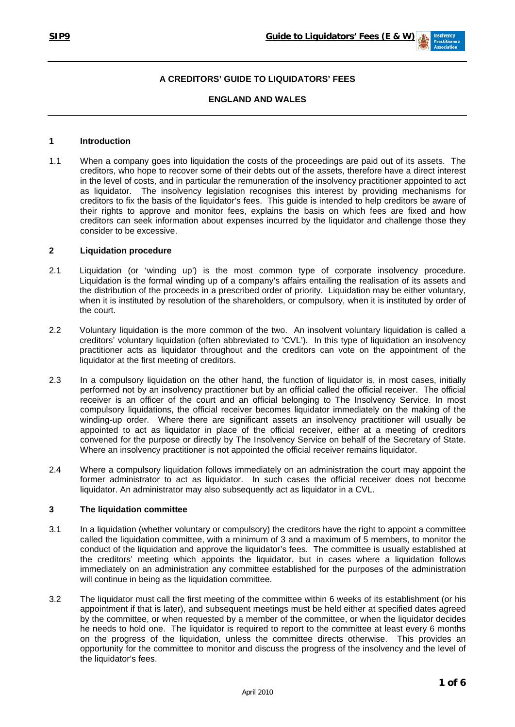

# **A CREDITORS' GUIDE TO LIQUIDATORS' FEES**

### **ENGLAND AND WALES**

### **1 Introduction**

1.1 When a company goes into liquidation the costs of the proceedings are paid out of its assets. The creditors, who hope to recover some of their debts out of the assets, therefore have a direct interest in the level of costs, and in particular the remuneration of the insolvency practitioner appointed to act as liquidator. The insolvency legislation recognises this interest by providing mechanisms for creditors to fix the basis of the liquidator's fees. This guide is intended to help creditors be aware of their rights to approve and monitor fees, explains the basis on which fees are fixed and how creditors can seek information about expenses incurred by the liquidator and challenge those they consider to be excessive.

### **2 Liquidation procedure**

- 2.1 Liquidation (or 'winding up') is the most common type of corporate insolvency procedure. Liquidation is the formal winding up of a company's affairs entailing the realisation of its assets and the distribution of the proceeds in a prescribed order of priority. Liquidation may be either voluntary, when it is instituted by resolution of the shareholders, or compulsory, when it is instituted by order of the court.
- 2.2 Voluntary liquidation is the more common of the two. An insolvent voluntary liquidation is called a creditors' voluntary liquidation (often abbreviated to 'CVL'). In this type of liquidation an insolvency practitioner acts as liquidator throughout and the creditors can vote on the appointment of the liquidator at the first meeting of creditors.
- 2.3 In a compulsory liquidation on the other hand, the function of liquidator is, in most cases, initially performed not by an insolvency practitioner but by an official called the official receiver. The official receiver is an officer of the court and an official belonging to The Insolvency Service. In most compulsory liquidations, the official receiver becomes liquidator immediately on the making of the winding-up order. Where there are significant assets an insolvency practitioner will usually be appointed to act as liquidator in place of the official receiver, either at a meeting of creditors convened for the purpose or directly by The Insolvency Service on behalf of the Secretary of State. Where an insolvency practitioner is not appointed the official receiver remains liquidator.
- 2.4 Where a compulsory liquidation follows immediately on an administration the court may appoint the former administrator to act as liquidator. In such cases the official receiver does not become liquidator. An administrator may also subsequently act as liquidator in a CVL.

## **3 The liquidation committee**

- 3.1 In a liquidation (whether voluntary or compulsory) the creditors have the right to appoint a committee called the liquidation committee, with a minimum of 3 and a maximum of 5 members, to monitor the conduct of the liquidation and approve the liquidator's fees. The committee is usually established at the creditors' meeting which appoints the liquidator, but in cases where a liquidation follows immediately on an administration any committee established for the purposes of the administration will continue in being as the liquidation committee.
- 3.2 The liquidator must call the first meeting of the committee within 6 weeks of its establishment (or his appointment if that is later), and subsequent meetings must be held either at specified dates agreed by the committee, or when requested by a member of the committee, or when the liquidator decides he needs to hold one. The liquidator is required to report to the committee at least every 6 months on the progress of the liquidation, unless the committee directs otherwise. This provides an opportunity for the committee to monitor and discuss the progress of the insolvency and the level of the liquidator's fees.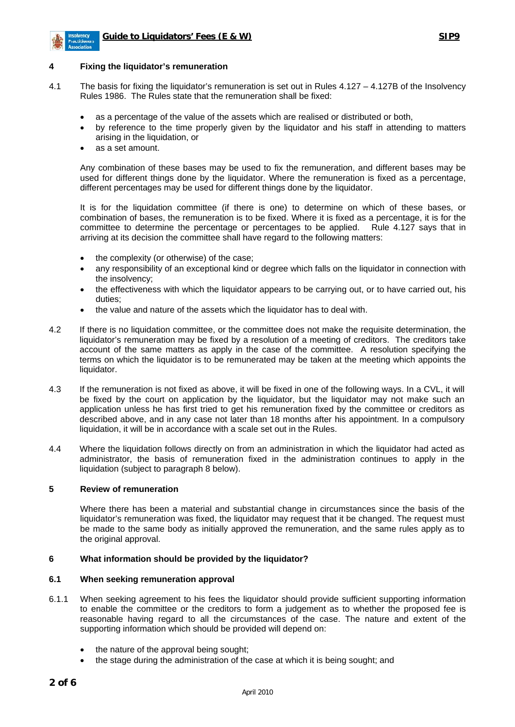

## **4 Fixing the liquidator's remuneration**

- 4.1 The basis for fixing the liquidator's remuneration is set out in Rules 4.127 4.127B of the Insolvency Rules 1986. The Rules state that the remuneration shall be fixed:
	- as a percentage of the value of the assets which are realised or distributed or both,
	- by reference to the time properly given by the liquidator and his staff in attending to matters arising in the liquidation, or
	- as a set amount.

Any combination of these bases may be used to fix the remuneration, and different bases may be used for different things done by the liquidator. Where the remuneration is fixed as a percentage, different percentages may be used for different things done by the liquidator.

It is for the liquidation committee (if there is one) to determine on which of these bases, or combination of bases, the remuneration is to be fixed. Where it is fixed as a percentage, it is for the committee to determine the percentage or percentages to be applied. Rule 4.127 says that in arriving at its decision the committee shall have regard to the following matters:

- the complexity (or otherwise) of the case;
- any responsibility of an exceptional kind or degree which falls on the liquidator in connection with the insolvency;
- the effectiveness with which the liquidator appears to be carrying out, or to have carried out, his duties;
- the value and nature of the assets which the liquidator has to deal with.
- 4.2 If there is no liquidation committee, or the committee does not make the requisite determination, the liquidator's remuneration may be fixed by a resolution of a meeting of creditors. The creditors take account of the same matters as apply in the case of the committee. A resolution specifying the terms on which the liquidator is to be remunerated may be taken at the meeting which appoints the liquidator.
- 4.3 If the remuneration is not fixed as above, it will be fixed in one of the following ways. In a CVL, it will be fixed by the court on application by the liquidator, but the liquidator may not make such an application unless he has first tried to get his remuneration fixed by the committee or creditors as described above, and in any case not later than 18 months after his appointment. In a compulsory liquidation, it will be in accordance with a scale set out in the Rules.
- 4.4 Where the liquidation follows directly on from an administration in which the liquidator had acted as administrator, the basis of remuneration fixed in the administration continues to apply in the liquidation (subject to paragraph 8 below).

### **5 Review of remuneration**

Where there has been a material and substantial change in circumstances since the basis of the liquidator's remuneration was fixed, the liquidator may request that it be changed. The request must be made to the same body as initially approved the remuneration, and the same rules apply as to the original approval.

## **6 What information should be provided by the liquidator?**

#### **6.1 When seeking remuneration approval**

- 6.1.1 When seeking agreement to his fees the liquidator should provide sufficient supporting information to enable the committee or the creditors to form a judgement as to whether the proposed fee is reasonable having regard to all the circumstances of the case. The nature and extent of the supporting information which should be provided will depend on:
	- the nature of the approval being sought;
	- the stage during the administration of the case at which it is being sought; and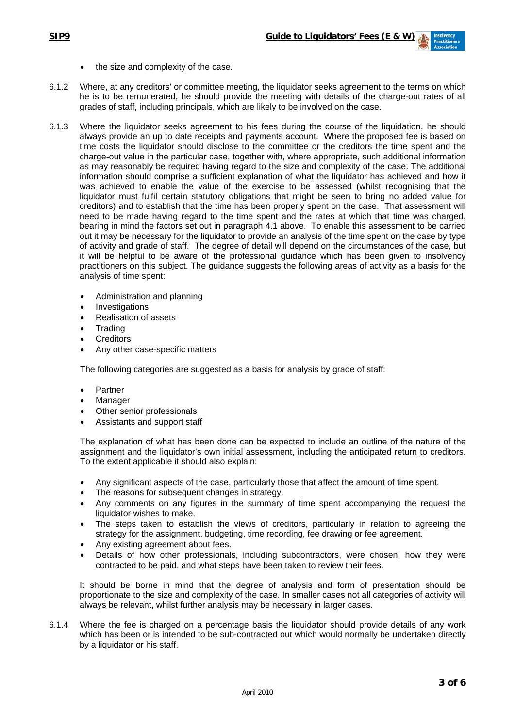- the size and complexity of the case.
- 6.1.2 Where, at any creditors' or committee meeting, the liquidator seeks agreement to the terms on which he is to be remunerated, he should provide the meeting with details of the charge-out rates of all grades of staff, including principals, which are likely to be involved on the case.
- 6.1.3 Where the liquidator seeks agreement to his fees during the course of the liquidation, he should always provide an up to date receipts and payments account. Where the proposed fee is based on time costs the liquidator should disclose to the committee or the creditors the time spent and the charge-out value in the particular case, together with, where appropriate, such additional information as may reasonably be required having regard to the size and complexity of the case. The additional information should comprise a sufficient explanation of what the liquidator has achieved and how it was achieved to enable the value of the exercise to be assessed (whilst recognising that the liquidator must fulfil certain statutory obligations that might be seen to bring no added value for creditors) and to establish that the time has been properly spent on the case. That assessment will need to be made having regard to the time spent and the rates at which that time was charged, bearing in mind the factors set out in paragraph 4.1 above. To enable this assessment to be carried out it may be necessary for the liquidator to provide an analysis of the time spent on the case by type of activity and grade of staff. The degree of detail will depend on the circumstances of the case, but it will be helpful to be aware of the professional guidance which has been given to insolvency practitioners on this subject. The guidance suggests the following areas of activity as a basis for the analysis of time spent:
	- Administration and planning
	- **Investigations**
	- Realisation of assets
	- **Trading**
	- **Creditors**
	- Any other case-specific matters

The following categories are suggested as a basis for analysis by grade of staff:

- **Partner**
- **Manager**
- Other senior professionals
- Assistants and support staff

The explanation of what has been done can be expected to include an outline of the nature of the assignment and the liquidator's own initial assessment, including the anticipated return to creditors. To the extent applicable it should also explain:

- Any significant aspects of the case, particularly those that affect the amount of time spent.
- The reasons for subsequent changes in strategy.
- Any comments on any figures in the summary of time spent accompanying the request the liquidator wishes to make.
- The steps taken to establish the views of creditors, particularly in relation to agreeing the strategy for the assignment, budgeting, time recording, fee drawing or fee agreement.
- Any existing agreement about fees.
- Details of how other professionals, including subcontractors, were chosen, how they were contracted to be paid, and what steps have been taken to review their fees.

It should be borne in mind that the degree of analysis and form of presentation should be proportionate to the size and complexity of the case. In smaller cases not all categories of activity will always be relevant, whilst further analysis may be necessary in larger cases.

6.1.4 Where the fee is charged on a percentage basis the liquidator should provide details of any work which has been or is intended to be sub-contracted out which would normally be undertaken directly by a liquidator or his staff.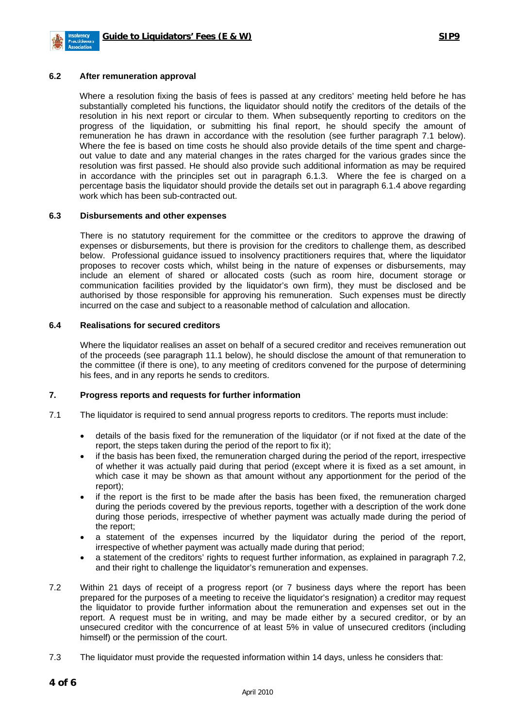

#### **6.2 After remuneration approval**

 Where a resolution fixing the basis of fees is passed at any creditors' meeting held before he has substantially completed his functions, the liquidator should notify the creditors of the details of the resolution in his next report or circular to them. When subsequently reporting to creditors on the progress of the liquidation, or submitting his final report, he should specify the amount of remuneration he has drawn in accordance with the resolution (see further paragraph 7.1 below). Where the fee is based on time costs he should also provide details of the time spent and chargeout value to date and any material changes in the rates charged for the various grades since the resolution was first passed. He should also provide such additional information as may be required in accordance with the principles set out in paragraph 6.1.3. Where the fee is charged on a percentage basis the liquidator should provide the details set out in paragraph 6.1.4 above regarding work which has been sub-contracted out.

#### **6.3 Disbursements and other expenses**

There is no statutory requirement for the committee or the creditors to approve the drawing of expenses or disbursements, but there is provision for the creditors to challenge them, as described below. Professional guidance issued to insolvency practitioners requires that, where the liquidator proposes to recover costs which, whilst being in the nature of expenses or disbursements, may include an element of shared or allocated costs (such as room hire, document storage or communication facilities provided by the liquidator's own firm), they must be disclosed and be authorised by those responsible for approving his remuneration. Such expenses must be directly incurred on the case and subject to a reasonable method of calculation and allocation.

## **6.4 Realisations for secured creditors**

Where the liquidator realises an asset on behalf of a secured creditor and receives remuneration out of the proceeds (see paragraph 11.1 below), he should disclose the amount of that remuneration to the committee (if there is one), to any meeting of creditors convened for the purpose of determining his fees, and in any reports he sends to creditors.

#### **7. Progress reports and requests for further information**

- 7.1 The liquidator is required to send annual progress reports to creditors. The reports must include:
	- details of the basis fixed for the remuneration of the liquidator (or if not fixed at the date of the report, the steps taken during the period of the report to fix it);
	- if the basis has been fixed, the remuneration charged during the period of the report, irrespective of whether it was actually paid during that period (except where it is fixed as a set amount, in which case it may be shown as that amount without any apportionment for the period of the report);
	- if the report is the first to be made after the basis has been fixed, the remuneration charged during the periods covered by the previous reports, together with a description of the work done during those periods, irrespective of whether payment was actually made during the period of the report;
	- a statement of the expenses incurred by the liquidator during the period of the report, irrespective of whether payment was actually made during that period;
	- a statement of the creditors' rights to request further information, as explained in paragraph 7.2, and their right to challenge the liquidator's remuneration and expenses.
- 7.2 Within 21 days of receipt of a progress report (or 7 business days where the report has been prepared for the purposes of a meeting to receive the liquidator's resignation) a creditor may request the liquidator to provide further information about the remuneration and expenses set out in the report. A request must be in writing, and may be made either by a secured creditor, or by an unsecured creditor with the concurrence of at least 5% in value of unsecured creditors (including himself) or the permission of the court.
- 7.3 The liquidator must provide the requested information within 14 days, unless he considers that: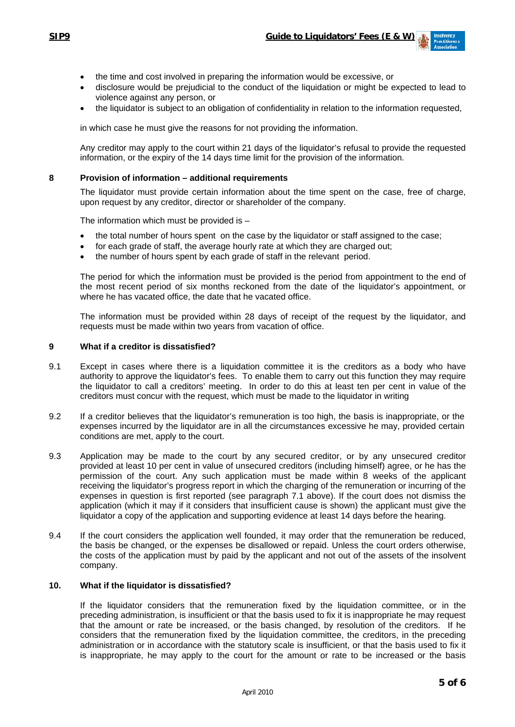- the time and cost involved in preparing the information would be excessive, or
- disclosure would be prejudicial to the conduct of the liquidation or might be expected to lead to violence against any person, or
- the liquidator is subject to an obligation of confidentiality in relation to the information requested,

in which case he must give the reasons for not providing the information.

Any creditor may apply to the court within 21 days of the liquidator's refusal to provide the requested information, or the expiry of the 14 days time limit for the provision of the information.

#### **8 Provision of information – additional requirements**

The liquidator must provide certain information about the time spent on the case, free of charge, upon request by any creditor, director or shareholder of the company.

The information which must be provided is –

- the total number of hours spent on the case by the liquidator or staff assigned to the case;
- for each grade of staff, the average hourly rate at which they are charged out;
- the number of hours spent by each grade of staff in the relevant period.

The period for which the information must be provided is the period from appointment to the end of the most recent period of six months reckoned from the date of the liquidator's appointment, or where he has vacated office, the date that he vacated office.

The information must be provided within 28 days of receipt of the request by the liquidator, and requests must be made within two years from vacation of office.

#### **9 What if a creditor is dissatisfied?**

- 9.1 Except in cases where there is a liquidation committee it is the creditors as a body who have authority to approve the liquidator's fees. To enable them to carry out this function they may require the liquidator to call a creditors' meeting. In order to do this at least ten per cent in value of the creditors must concur with the request, which must be made to the liquidator in writing
- 9.2 If a creditor believes that the liquidator's remuneration is too high, the basis is inappropriate, or the expenses incurred by the liquidator are in all the circumstances excessive he may, provided certain conditions are met, apply to the court.
- 9.3 Application may be made to the court by any secured creditor, or by any unsecured creditor provided at least 10 per cent in value of unsecured creditors (including himself) agree, or he has the permission of the court. Any such application must be made within 8 weeks of the applicant receiving the liquidator's progress report in which the charging of the remuneration or incurring of the expenses in question is first reported (see paragraph 7.1 above). If the court does not dismiss the application (which it may if it considers that insufficient cause is shown) the applicant must give the liquidator a copy of the application and supporting evidence at least 14 days before the hearing.
- 9.4 If the court considers the application well founded, it may order that the remuneration be reduced, the basis be changed, or the expenses be disallowed or repaid. Unless the court orders otherwise, the costs of the application must by paid by the applicant and not out of the assets of the insolvent company.

## **10. What if the liquidator is dissatisfied?**

 If the liquidator considers that the remuneration fixed by the liquidation committee, or in the preceding administration, is insufficient or that the basis used to fix it is inappropriate he may request that the amount or rate be increased, or the basis changed, by resolution of the creditors. If he considers that the remuneration fixed by the liquidation committee, the creditors, in the preceding administration or in accordance with the statutory scale is insufficient, or that the basis used to fix it is inappropriate, he may apply to the court for the amount or rate to be increased or the basis